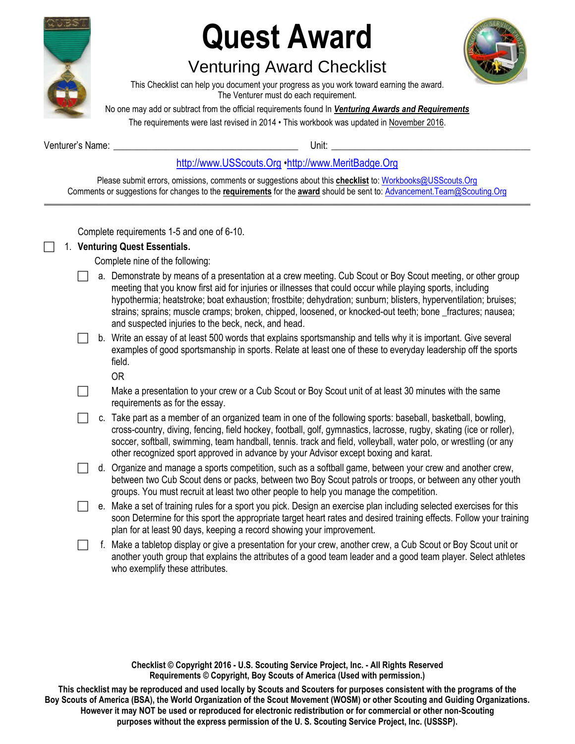

# **Quest Award**

## Venturing Award Checklist



This Checklist can help you document your progress as you work toward earning the award. The Venturer must do each requirement.

No one may add or subtract from the official requirements found In *Venturing Awards and Requirements* 

The requirements were last revised in 2014 • This workbook was updated in November 2016.

Venturer's Name: **Wenturer's Name: Wenturer's Name: Wenturer's** Name: **Wenturer's** Name: **Wenturer's** Name: **Wenturer's** Name: **Wenturer's** Name: **Wenturer's** Name: **Wenturer's** Name: **Wenturer's** Name: **Wenturer's** Na

[http://www.USScouts.Org](http://www.usscouts.org/) •[http://www.MeritBadge.Org](http://www.meritbadge.org/)

Please submit errors, omissions, comments or suggestions about this **checklist** to: [Workbooks@USScouts.Org](mailto:Workbooks@usscouts.org?subject=Merit%20Badge%20Workbooks) Comments or suggestions for changes to the **requirements** for the **award** should be sent to: [Advancement.Team@Scouting.Org](mailto:Advancement.Team@Scouting.Org) *\_\_\_\_\_\_\_\_\_\_\_\_\_\_\_\_\_\_\_\_\_\_\_\_\_\_\_\_\_\_\_\_\_\_\_\_\_\_\_\_\_\_\_\_\_\_\_\_\_\_\_\_\_\_\_\_\_\_\_\_\_\_\_\_\_\_\_\_\_\_\_\_\_\_\_\_\_\_\_\_\_\_\_\_\_\_\_\_\_\_\_\_\_\_\_\_\_\_\_\_\_\_\_\_\_\_\_\_\_\_\_\_\_\_\_\_\_\_\_\_\_\_\_\_\_\_\_\_\_\_\_\_\_\_\_\_\_\_\_\_\_\_* 

Complete requirements 1-5 and one of 6-10.

### 1. **Venturing Quest Essentials.**

Complete nine of the following:

- a. Demonstrate by means of a presentation at a crew meeting. Cub Scout or Boy Scout meeting, or other group meeting that you know first aid for injuries or illnesses that could occur while playing sports, including hypothermia; heatstroke; boat exhaustion; frostbite; dehydration; sunburn; blisters, hyperventilation; bruises; strains; sprains; muscle cramps; broken, chipped, loosened, or knocked-out teeth; bone fractures; nausea; and suspected injuries to the beck, neck, and head.
- b. Write an essay of at least 500 words that explains sportsmanship and tells why it is important. Give several examples of good sportsmanship in sports. Relate at least one of these to everyday leadership off the sports field.

OR

- $\Box$  Make a presentation to your crew or a Cub Scout or Boy Scout unit of at least 30 minutes with the same requirements as for the essay.
- $\Box$  c. Take part as a member of an organized team in one of the following sports: baseball, basketball, bowling, cross-country, diving, fencing, field hockey, football, golf, gymnastics, lacrosse, rugby, skating (ice or roller), soccer, softball, swimming, team handball, tennis. track and field, volleyball, water polo, or wrestling (or any other recognized sport approved in advance by your Advisor except boxing and karat.
- $\Box$  d. Organize and manage a sports competition, such as a softball game, between your crew and another crew, between two Cub Scout dens or packs, between two Boy Scout patrols or troops, or between any other youth groups. You must recruit at least two other people to help you manage the competition.
- e. Make a set of training rules for a sport you pick. Design an exercise plan including selected exercises for this soon Determine for this sport the appropriate target heart rates and desired training effects. Follow your training plan for at least 90 days, keeping a record showing your improvement.
- $\Box$  f. Make a tabletop display or give a presentation for your crew, another crew, a Cub Scout or Boy Scout unit or another youth group that explains the attributes of a good team leader and a good team player. Select athletes who exemplify these attributes.

**Checklist © Copyright 2016 - U.S. Scouting Service Project, Inc. - All Rights Reserved Requirements © Copyright, Boy Scouts of America (Used with permission.)** 

**This checklist may be reproduced and used locally by Scouts and Scouters for purposes consistent with the programs of the Boy Scouts of America (BSA), the World Organization of the Scout Movement (WOSM) or other Scouting and Guiding Organizations. However it may NOT be used or reproduced for electronic redistribution or for commercial or other non-Scouting purposes without the express permission of the U. S. Scouting Service Project, Inc. (USSSP).**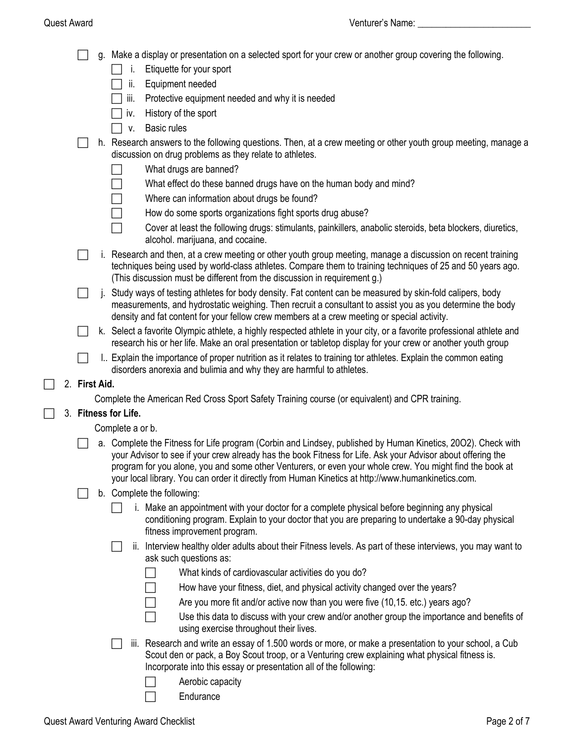- g. Make a display or presentation on a selected sport for your crew or another group covering the following.
	- $\Box$  i. Etiquette for your sport
	- $\Box$  ii. Equipment needed
	- $\Box$  iii. Protective equipment needed and why it is needed
	- $\Box$  iv. History of the sport
	- $\Box$  v. Basic rules
- $\Box$  h. Research answers to the following questions. Then, at a crew meeting or other youth group meeting, manage a discussion on drug problems as they relate to athletes.
	- $\Box$  What drugs are banned?
	- $\Box$  What effect do these banned drugs have on the human body and mind?
	- $\Box$  Where can information about drugs be found?
	- $\Box$  How do some sports organizations fight sports drug abuse?
	- $\Box$  Cover at least the following drugs: stimulants, painkillers, anabolic steroids, beta blockers, diuretics, alcohol. marijuana, and cocaine.
- $\Box$  i. Research and then, at a crew meeting or other youth group meeting, manage a discussion on recent training techniques being used by world-class athletes. Compare them to training techniques of 25 and 50 years ago. (This discussion must be different from the discussion in requirement g.)
- $\Box$  i. Study ways of testing athletes for body density. Fat content can be measured by skin-fold calipers, body measurements, and hydrostatic weighing. Then recruit a consultant to assist you as you determine the body density and fat content for your fellow crew members at a crew meeting or special activity.
- k. Select a favorite Olympic athlete, a highly respected athlete in your city, or a favorite professional athlete and research his or her life. Make an oral presentation or tabletop display for your crew or another youth group
- $\Box$  I.. Explain the importance of proper nutrition as it relates to training tor athletes. Explain the common eating disorders anorexia and bulimia and why they are harmful to athletes.

#### 2. **First Aid.**

Complete the American Red Cross Sport Safety Training course (or equivalent) and CPR training.

#### 3. **Fitness for Life.**

Complete a or b.

 a. Complete the Fitness for Life program (Corbin and Lindsey, published by Human Kinetics, 20O2). Check with your Advisor to see if your crew already has the book Fitness for Life. Ask your Advisor about offering the program for you alone, you and some other Venturers, or even your whole crew. You might find the book at your local library. You can order it directly from Human Kinetics at http://www.humankinetics.com.

### $\Box$  b. Complete the following:

- $\Box$  i. Make an appointment with your doctor for a complete physical before beginning any physical conditioning program. Explain to your doctor that you are preparing to undertake a 90-day physical fitness improvement program.
- ii. Interview healthy older adults about their Fitness levels. As part of these interviews, you may want to ask such questions as:
	- What kinds of cardiovascular activities do you do?
	- How have your fitness, diet, and physical activity changed over the years?
	- Are you more fit and/or active now than you were five (10,15. etc.) years ago?
	- $\Box$  Use this data to discuss with your crew and/or another group the importance and benefits of using exercise throughout their lives.
- iii. Research and write an essay of 1.500 words or more, or make a presentation to your school, a Cub Scout den or pack, a Boy Scout troop, or a Venturing crew explaining what physical fitness is. Incorporate into this essay or presentation all of the following:
	- Aerobic capacity
		- **Endurance**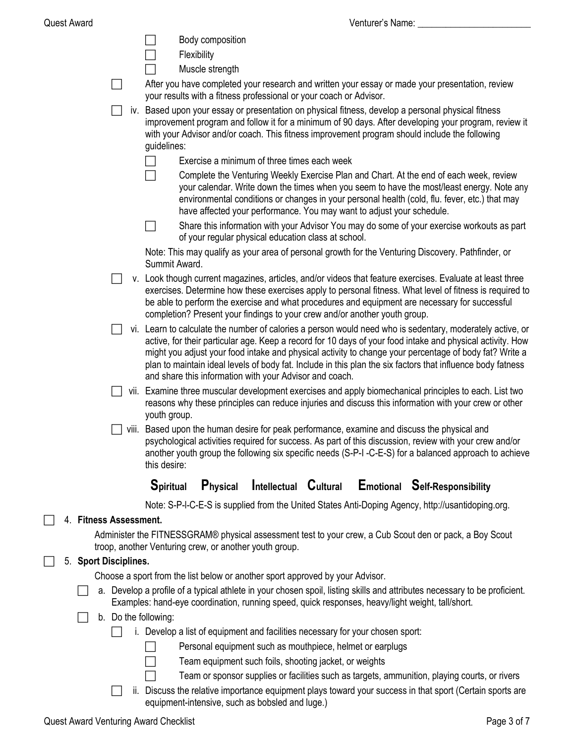|    |                           |  |       |                      |             | Body composition |                                                                                |  |                                                                                                                                                                                                                                                                                                                                     |  |
|----|---------------------------|--|-------|----------------------|-------------|------------------|--------------------------------------------------------------------------------|--|-------------------------------------------------------------------------------------------------------------------------------------------------------------------------------------------------------------------------------------------------------------------------------------------------------------------------------------|--|
|    |                           |  |       |                      | Flexibility |                  |                                                                                |  |                                                                                                                                                                                                                                                                                                                                     |  |
|    |                           |  |       |                      |             | Muscle strength  |                                                                                |  |                                                                                                                                                                                                                                                                                                                                     |  |
|    |                           |  |       |                      |             |                  | your results with a fitness professional or your coach or Advisor.             |  | After you have completed your research and written your essay or made your presentation, review                                                                                                                                                                                                                                     |  |
|    |                           |  |       | guidelines:          |             |                  |                                                                                |  | iv. Based upon your essay or presentation on physical fitness, develop a personal physical fitness<br>improvement program and follow it for a minimum of 90 days. After developing your program, review it<br>with your Advisor and/or coach. This fitness improvement program should include the following                         |  |
|    |                           |  |       |                      |             |                  | Exercise a minimum of three times each week                                    |  |                                                                                                                                                                                                                                                                                                                                     |  |
|    |                           |  |       |                      |             |                  | have affected your performance. You may want to adjust your schedule.          |  | Complete the Venturing Weekly Exercise Plan and Chart. At the end of each week, review<br>your calendar. Write down the times when you seem to have the most/least energy. Note any<br>environmental conditions or changes in your personal health (cold, flu. fever, etc.) that may                                                |  |
|    |                           |  |       | $\Box$               |             |                  | of your regular physical education class at school.                            |  | Share this information with your Advisor You may do some of your exercise workouts as part                                                                                                                                                                                                                                          |  |
|    |                           |  |       | Summit Award.        |             |                  |                                                                                |  | Note: This may qualify as your area of personal growth for the Venturing Discovery. Pathfinder, or                                                                                                                                                                                                                                  |  |
|    |                           |  |       |                      |             |                  | completion? Present your findings to your crew and/or another youth group.     |  | v. Look though current magazines, articles, and/or videos that feature exercises. Evaluate at least three<br>exercises. Determine how these exercises apply to personal fitness. What level of fitness is required to<br>be able to perform the exercise and what procedures and equipment are necessary for successful             |  |
|    |                           |  |       |                      |             |                  |                                                                                |  | vi. Learn to calculate the number of calories a person would need who is sedentary, moderately active, or                                                                                                                                                                                                                           |  |
|    |                           |  |       |                      |             |                  | and share this information with your Advisor and coach.                        |  | active, for their particular age. Keep a record for 10 days of your food intake and physical activity. How<br>might you adjust your food intake and physical activity to change your percentage of body fat? Write a<br>plan to maintain ideal levels of body fat. Include in this plan the six factors that influence body fatness |  |
|    |                           |  |       | youth group.         |             |                  |                                                                                |  | vii. Examine three muscular development exercises and apply biomechanical principles to each. List two<br>reasons why these principles can reduce injuries and discuss this information with your crew or other                                                                                                                     |  |
|    |                           |  | VIII. | this desire:         |             |                  |                                                                                |  | Based upon the human desire for peak performance, examine and discuss the physical and<br>psychological activities required for success. As part of this discussion, review with your crew and/or<br>another youth group the following six specific needs (S-P-I -C-E-S) for a balanced approach to achieve                         |  |
|    |                           |  |       | <b>Spiritual</b>     |             | Physical         | <b>Intellectual Cultural</b>                                                   |  | <b>Emotional Self-Responsibility</b>                                                                                                                                                                                                                                                                                                |  |
|    |                           |  |       |                      |             |                  |                                                                                |  | Note: S-P-I-C-E-S is supplied from the United States Anti-Doping Agency, http://usantidoping.org.                                                                                                                                                                                                                                   |  |
|    | 4. Fitness Assessment.    |  |       |                      |             |                  |                                                                                |  |                                                                                                                                                                                                                                                                                                                                     |  |
|    |                           |  |       |                      |             |                  | troop, another Venturing crew, or another youth group.                         |  | Administer the FITNESSGRAM® physical assessment test to your crew, a Cub Scout den or pack, a Boy Scout                                                                                                                                                                                                                             |  |
| 5. | <b>Sport Disciplines.</b> |  |       |                      |             |                  |                                                                                |  |                                                                                                                                                                                                                                                                                                                                     |  |
|    |                           |  |       |                      |             |                  | Choose a sport from the list below or another sport approved by your Advisor.  |  |                                                                                                                                                                                                                                                                                                                                     |  |
|    |                           |  |       |                      |             |                  |                                                                                |  | a. Develop a profile of a typical athlete in your chosen spoil, listing skills and attributes necessary to be proficient.<br>Examples: hand-eye coordination, running speed, quick responses, heavy/light weight, tall/short.                                                                                                       |  |
|    |                           |  |       | b. Do the following: |             |                  |                                                                                |  |                                                                                                                                                                                                                                                                                                                                     |  |
|    |                           |  |       |                      |             |                  | i. Develop a list of equipment and facilities necessary for your chosen sport: |  |                                                                                                                                                                                                                                                                                                                                     |  |
|    |                           |  |       |                      |             |                  | Personal equipment such as mouthpiece, helmet or earplugs                      |  |                                                                                                                                                                                                                                                                                                                                     |  |
|    |                           |  |       |                      |             |                  | Team equipment such foils, shooting jacket, or weights                         |  |                                                                                                                                                                                                                                                                                                                                     |  |
|    |                           |  |       |                      |             |                  |                                                                                |  | Team or sponsor supplies or facilities such as targets, ammunition, playing courts, or rivers                                                                                                                                                                                                                                       |  |

 ii. Discuss the relative importance equipment plays toward your success in that sport (Certain sports are equipment-intensive, such as bobsled and luge.)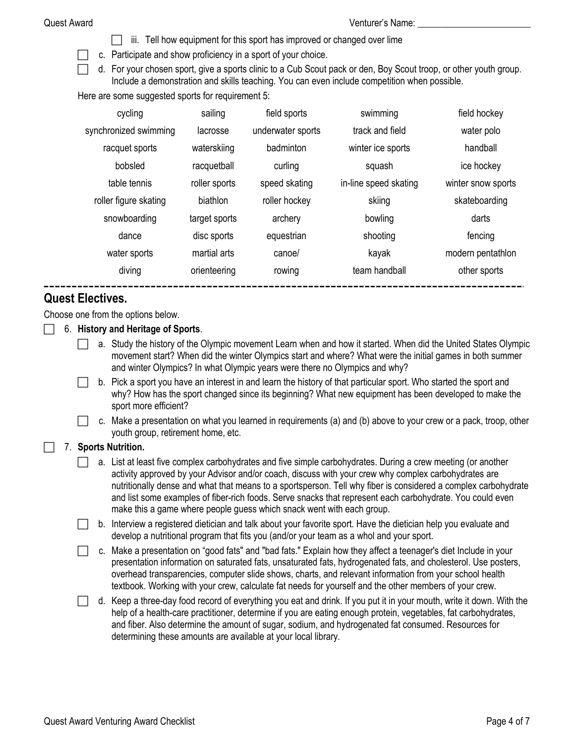- iii. Tell how equipment for this sport has improved or changed over lime
- $\Box$  c. Participate and show proficiency in a sport of your choice.
	- d. For your chosen sport, give a sports clinic to a Cub Scout pack or den, Boy Scout troop, or other youth group. Include a demonstration and skills teaching. You can even include competition when possible.

Here are some suggested sports for requirement 5:

| cycling               | sailing       | field sports      | swimming              | field hockey       |
|-----------------------|---------------|-------------------|-----------------------|--------------------|
| synchronized swimming | lacrosse      | underwater sports | track and field       | water polo         |
| racquet sports        | waterskiing   | badminton         | winter ice sports     | handball           |
| bobsled               | racquetball   | curling           | squash                | ice hockey         |
| table tennis          | roller sports | speed skating     | in-line speed skating | winter snow sports |
| roller figure skating | biathlon      | roller hockey     | skiing                | skateboarding      |
| snowboarding          | target sports | archery           | bowling               | darts              |
| dance                 | disc sports   | equestrian        | shooting              | fencing            |
| water sports          | martial arts  | canoe/            | kayak                 | modern pentathlon  |
| diving                | orienteering  | rowing            | team handball         | other sports       |
|                       |               |                   |                       |                    |

### **Quest Electives.**

Choose one from the options below.

- 6. **History and Heritage of Sports**.
	- a. Study the history of the Olympic movement Learn when and how it started. When did the United States Olympic movement start? When did the winter Olympics start and where? What were the initial games in both summer and winter Olympics? In what Olympic years were there no Olympics and why?
	- b. Pick a sport you have an interest in and learn the history of that particular sport. Who started the sport and why? How has the sport changed since its beginning? What new equipment has been developed to make the sport more efficient?
	- c. Make a presentation on what you learned in requirements (a) and (b) above to your crew or a pack, troop, other youth group, retirement home, etc.

#### 7. **Sports Nutrition.**

- a. List at least five complex carbohydrates and five simple carbohydrates. During a crew meeting (or another activity approved by your Advisor and/or coach, discuss with your crew why complex carbohydrates are nutritionally dense and what that means to a sportsperson. Tell why fiber is considered a complex carbohydrate and list some examples of fiber-rich foods. Serve snacks that represent each carbohydrate. You could even make this a game where people guess which snack went with each group.
- $\Box$  b. Interview a registered dietician and talk about your favorite sport. Have the dietician help you evaluate and develop a nutritional program that fits you (and/or your team as a whol and your sport.
- c. Make a presentation on "good fats" and "bad fats." Explain how they affect a teenager's diet Include in your presentation information on saturated fats, unsaturated fats, hydrogenated fats, and cholesterol. Use posters, overhead transparencies, computer slide shows, charts, and relevant information from your school health textbook. Working with your crew, calculate fat needs for yourself and the other members of your crew.
- $\Box$  d. Keep a three-day food record of everything you eat and drink. If you put it in your mouth, write it down. With the help of a health-care practitioner, determine if you are eating enough protein, vegetables, fat carbohydrates, and fiber. Also determine the amount of sugar, sodium, and hydrogenated fat consumed. Resources for determining these amounts are available at your local library.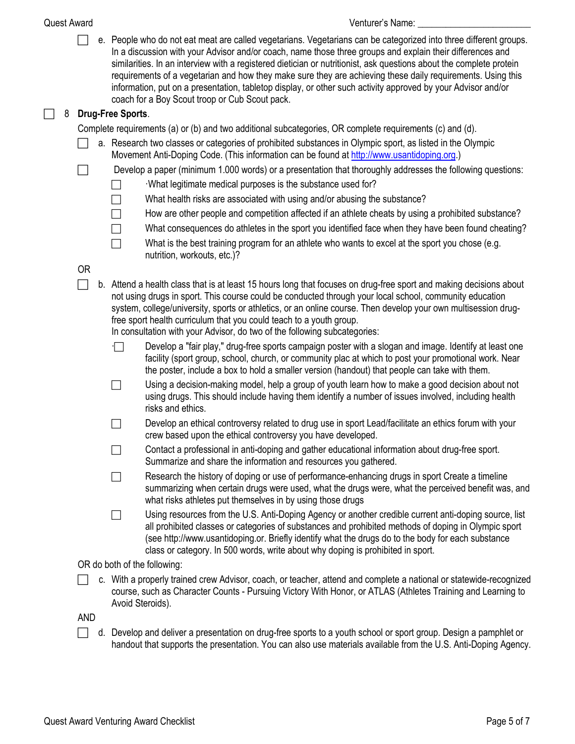#### Quest Award Venturer's Name: \_\_\_\_\_\_\_\_\_\_\_\_\_\_\_\_\_\_\_\_\_\_\_\_

 $\Box$  e. People who do not eat meat are called vegetarians. Vegetarians can be categorized into three different groups. In a discussion with your Advisor and/or coach, name those three groups and explain their differences and similarities. In an interview with a registered dietician or nutritionist, ask questions about the complete protein requirements of a vegetarian and how they make sure they are achieving these daily requirements. Using this information, put on a presentation, tabletop display, or other such activity approved by your Advisor and/or coach for a Boy Scout troop or Cub Scout pack.

### 8 **Drug-Free Sports**.

Complete requirements (a) or (b) and two additional subcategories, OR complete requirements (c) and (d).

- $\Box$  a. Research two classes or categories of prohibited substances in Olympic sport, as listed in the Olympic Movement Anti-Doping Code. (This information can be found at [http://www.usantidoping.org](http://www.usantidoping.org/).)
- Develop a paper (minimum 1.000 words) or a presentation that thoroughly addresses the following questions:
	- $\Box$  What legitimate medical purposes is the substance used for?
	- $\Box$  What health risks are associated with using and/or abusing the substance?
	- How are other people and competition affected if an athlete cheats by using a prohibited substance?
	- What consequences do athletes in the sport you identified face when they have been found cheating?
	- What is the best training program for an athlete who wants to excel at the sport you chose (e.g. nutrition, workouts, etc.)?

### OR

 $\Box$  b. Attend a health class that is at least 15 hours long that focuses on drug-free sport and making decisions about not using drugs in sport. This course could be conducted through your local school, community education system, college/university, sports or athletics, or an online course. Then develop your own multisession drugfree sport health curriculum that you could teach to a youth group.

In consultation with your Advisor, do two of the following subcategories:

- Develop a "fair play," drug-free sports campaign poster with a slogan and image. Identify at least one facility (sport group, school, church, or community plac at which to post your promotional work. Near the poster, include a box to hold a smaller version (handout) that people can take with them.
- $\Box$  Using a decision-making model, help a group of youth learn how to make a good decision about not using drugs. This should include having them identify a number of issues involved, including health risks and ethics.
- Develop an ethical controversy related to drug use in sport Lead/facilitate an ethics forum with your crew based upon the ethical controversy you have developed.
- $\Box$  Contact a professional in anti-doping and gather educational information about drug-free sport. Summarize and share the information and resources you gathered.
- $\Box$  Research the history of doping or use of performance-enhancing drugs in sport Create a timeline summarizing when certain drugs were used, what the drugs were, what the perceived benefit was, and what risks athletes put themselves in by using those drugs
- Using resources from the U.S. Anti-Doping Agency or another credible current anti-doping source, list all prohibited classes or categories of substances and prohibited methods of doping in Olympic sport (see http://www.usantidoping.or. Briefly identify what the drugs do to the body for each substance class or category. In 500 words, write about why doping is prohibited in sport.

#### OR do both of the following:

 c. With a properly trained crew Advisor, coach, or teacher, attend and complete a national or statewide-recognized course, such as Character Counts - Pursuing Victory With Honor, or ATLAS (Athletes Training and Learning to Avoid Steroids).

#### AND

 $\Box$  d. Develop and deliver a presentation on drug-free sports to a youth school or sport group. Design a pamphlet or handout that supports the presentation. You can also use materials available from the U.S. Anti-Doping Agency.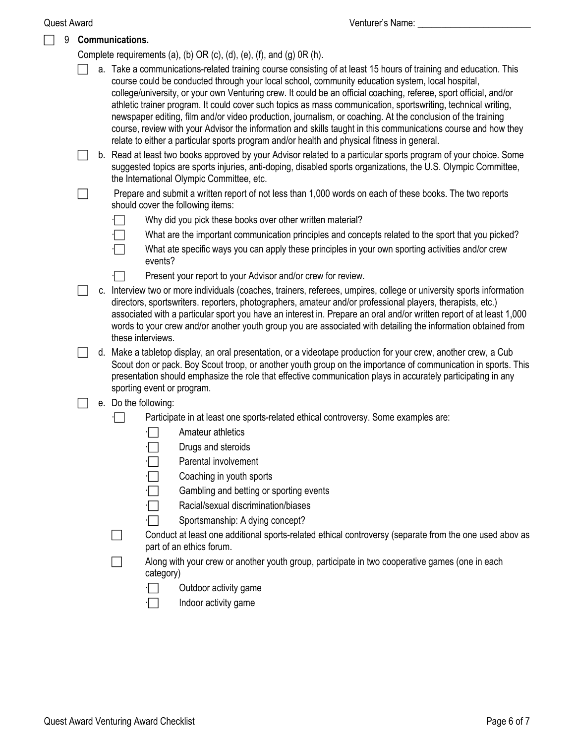|   | <b>Quest Award</b> | Venturer's Name:                                                                                                                                                                                                                                                                                                                                                                                                                                                                                                                                                                                                                                                                                                                                                                          |  |  |  |  |  |
|---|--------------------|-------------------------------------------------------------------------------------------------------------------------------------------------------------------------------------------------------------------------------------------------------------------------------------------------------------------------------------------------------------------------------------------------------------------------------------------------------------------------------------------------------------------------------------------------------------------------------------------------------------------------------------------------------------------------------------------------------------------------------------------------------------------------------------------|--|--|--|--|--|
| 9 |                    | Communications.                                                                                                                                                                                                                                                                                                                                                                                                                                                                                                                                                                                                                                                                                                                                                                           |  |  |  |  |  |
|   |                    | Complete requirements (a), (b) OR (c), (d), (e), (f), and (g) $OR(h)$ .                                                                                                                                                                                                                                                                                                                                                                                                                                                                                                                                                                                                                                                                                                                   |  |  |  |  |  |
|   |                    | a. Take a communications-related training course consisting of at least 15 hours of training and education. This<br>course could be conducted through your local school, community education system, local hospital,<br>college/university, or your own Venturing crew. It could be an official coaching, referee, sport official, and/or<br>athletic trainer program. It could cover such topics as mass communication, sportswriting, technical writing,<br>newspaper editing, film and/or video production, journalism, or coaching. At the conclusion of the training<br>course, review with your Advisor the information and skills taught in this communications course and how they<br>relate to either a particular sports program and/or health and physical fitness in general. |  |  |  |  |  |
|   |                    | b. Read at least two books approved by your Advisor related to a particular sports program of your choice. Some<br>suggested topics are sports injuries, anti-doping, disabled sports organizations, the U.S. Olympic Committee,<br>the International Olympic Committee, etc.                                                                                                                                                                                                                                                                                                                                                                                                                                                                                                             |  |  |  |  |  |
|   |                    | Prepare and submit a written report of not less than 1,000 words on each of these books. The two reports<br>should cover the following items:                                                                                                                                                                                                                                                                                                                                                                                                                                                                                                                                                                                                                                             |  |  |  |  |  |
|   |                    | Why did you pick these books over other written material?                                                                                                                                                                                                                                                                                                                                                                                                                                                                                                                                                                                                                                                                                                                                 |  |  |  |  |  |
|   |                    | What are the important communication principles and concepts related to the sport that you picked?                                                                                                                                                                                                                                                                                                                                                                                                                                                                                                                                                                                                                                                                                        |  |  |  |  |  |
|   |                    | What ate specific ways you can apply these principles in your own sporting activities and/or crew<br>events?                                                                                                                                                                                                                                                                                                                                                                                                                                                                                                                                                                                                                                                                              |  |  |  |  |  |
|   |                    | Present your report to your Advisor and/or crew for review.                                                                                                                                                                                                                                                                                                                                                                                                                                                                                                                                                                                                                                                                                                                               |  |  |  |  |  |
|   |                    | c. Interview two or more individuals (coaches, trainers, referees, umpires, college or university sports information<br>directors, sportswriters. reporters, photographers, amateur and/or professional players, therapists, etc.)<br>associated with a particular sport you have an interest in. Prepare an oral and/or written report of at least 1,000<br>words to your crew and/or another youth group you are associated with detailing the information obtained from<br>these interviews.                                                                                                                                                                                                                                                                                           |  |  |  |  |  |
|   |                    | d. Make a tabletop display, an oral presentation, or a videotape production for your crew, another crew, a Cub<br>Scout don or pack. Boy Scout troop, or another youth group on the importance of communication in sports. This<br>presentation should emphasize the role that effective communication plays in accurately participating in any<br>sporting event or program.                                                                                                                                                                                                                                                                                                                                                                                                             |  |  |  |  |  |
|   |                    | e. Do the following:                                                                                                                                                                                                                                                                                                                                                                                                                                                                                                                                                                                                                                                                                                                                                                      |  |  |  |  |  |
|   |                    | Participate in at least one sports-related ethical controversy. Some examples are:                                                                                                                                                                                                                                                                                                                                                                                                                                                                                                                                                                                                                                                                                                        |  |  |  |  |  |
|   |                    | Amateur athletics                                                                                                                                                                                                                                                                                                                                                                                                                                                                                                                                                                                                                                                                                                                                                                         |  |  |  |  |  |
|   |                    | Drugs and steroids                                                                                                                                                                                                                                                                                                                                                                                                                                                                                                                                                                                                                                                                                                                                                                        |  |  |  |  |  |
|   |                    | Parental involvement                                                                                                                                                                                                                                                                                                                                                                                                                                                                                                                                                                                                                                                                                                                                                                      |  |  |  |  |  |
|   |                    | Coaching in youth sports                                                                                                                                                                                                                                                                                                                                                                                                                                                                                                                                                                                                                                                                                                                                                                  |  |  |  |  |  |
|   |                    | Gambling and betting or sporting events                                                                                                                                                                                                                                                                                                                                                                                                                                                                                                                                                                                                                                                                                                                                                   |  |  |  |  |  |
|   |                    | Racial/sexual discrimination/biases                                                                                                                                                                                                                                                                                                                                                                                                                                                                                                                                                                                                                                                                                                                                                       |  |  |  |  |  |
|   |                    | Sportsmanship: A dying concept?                                                                                                                                                                                                                                                                                                                                                                                                                                                                                                                                                                                                                                                                                                                                                           |  |  |  |  |  |
|   |                    | Conduct at least one additional sports-related ethical controversy (separate from the one used abov as<br>part of an ethics forum.                                                                                                                                                                                                                                                                                                                                                                                                                                                                                                                                                                                                                                                        |  |  |  |  |  |
|   |                    | Along with your crew or another youth group, participate in two cooperative games (one in each<br>category)                                                                                                                                                                                                                                                                                                                                                                                                                                                                                                                                                                                                                                                                               |  |  |  |  |  |
|   |                    | Outdoor activity game                                                                                                                                                                                                                                                                                                                                                                                                                                                                                                                                                                                                                                                                                                                                                                     |  |  |  |  |  |

 $\Box$  Indoor activity game